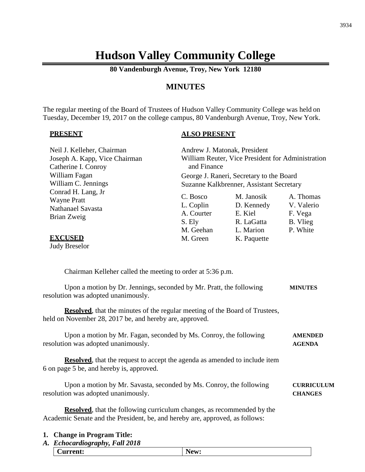# **Hudson Valley Community College**

**80 Vandenburgh Avenue, Troy, New York 12180**

## **MINUTES**

The regular meeting of the Board of Trustees of Hudson Valley Community College was held on Tuesday, December 19, 2017 on the college campus, 80 Vandenburgh Avenue, Troy, New York.

#### **PRESENT**

#### **ALSO PRESENT**

3934

| Neil J. Kelleher, Chairman<br>Joseph A. Kapp, Vice Chairman<br>Catherine I. Conroy                                                                             | Andrew J. Matonak, President<br>William Reuter, Vice President for Administration<br>and Finance<br>George J. Raneri, Secretary to the Board<br>Suzanne Kalkbrenner, Assistant Secretary |                                                                               |                                                            |
|----------------------------------------------------------------------------------------------------------------------------------------------------------------|------------------------------------------------------------------------------------------------------------------------------------------------------------------------------------------|-------------------------------------------------------------------------------|------------------------------------------------------------|
| William Fagan<br>William C. Jennings                                                                                                                           |                                                                                                                                                                                          |                                                                               |                                                            |
| Conrad H. Lang, Jr<br><b>Wayne Pratt</b><br>Nathanael Savasta<br>Brian Zweig<br><b>EXCUSED</b><br><b>Judy Breselor</b>                                         | C. Bosco<br>L. Coplin<br>A. Courter<br>S. Ely<br>M. Geehan<br>M. Green                                                                                                                   | M. Janosik<br>D. Kennedy<br>E. Kiel<br>R. LaGatta<br>L. Marion<br>K. Paquette | A. Thomas<br>V. Valerio<br>F. Vega<br>B. Vlieg<br>P. White |
| Chairman Kelleher called the meeting to order at 5:36 p.m.                                                                                                     |                                                                                                                                                                                          |                                                                               |                                                            |
| Upon a motion by Dr. Jennings, seconded by Mr. Pratt, the following<br>resolution was adopted unanimously.                                                     |                                                                                                                                                                                          |                                                                               | <b>MINUTES</b>                                             |
| <b>Resolved</b> , that the minutes of the regular meeting of the Board of Trustees,<br>held on November 28, 2017 be, and hereby are, approved.                 |                                                                                                                                                                                          |                                                                               |                                                            |
| Upon a motion by Mr. Fagan, seconded by Ms. Conroy, the following<br>resolution was adopted unanimously.                                                       |                                                                                                                                                                                          |                                                                               | <b>AMENDED</b><br><b>AGENDA</b>                            |
| <b>Resolved</b> , that the request to accept the agenda as amended to include item<br>6 on page 5 be, and hereby is, approved.                                 |                                                                                                                                                                                          |                                                                               |                                                            |
| Upon a motion by Mr. Savasta, seconded by Ms. Conroy, the following<br>resolution was adopted unanimously.                                                     |                                                                                                                                                                                          |                                                                               | <b>CURRICULUM</b><br><b>CHANGES</b>                        |
| <b>Resolved</b> , that the following curriculum changes, as recommended by the<br>Academic Senate and the President, be, and hereby are, approved, as follows: |                                                                                                                                                                                          |                                                                               |                                                            |
| 1. Change in Program Title:<br>A. Echocardiography, Fall 2018                                                                                                  |                                                                                                                                                                                          |                                                                               |                                                            |

**Current: New:**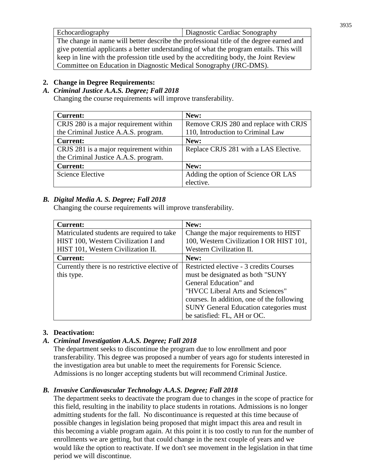| Echocardiography                                                                        | Diagnostic Cardiac Sonography |  |
|-----------------------------------------------------------------------------------------|-------------------------------|--|
| The change in name will better describe the professional title of the degree earned and |                               |  |
| give potential applicants a better understanding of what the program entails. This will |                               |  |
| keep in line with the profession title used by the accrediting body, the Joint Review   |                               |  |
| Committee on Education in Diagnostic Medical Sonography (JRC-DMS).                      |                               |  |

## **2. Change in Degree Requirements:**

## *A. Criminal Justice A.A.S. Degree; Fall 2018*

Changing the course requirements will improve transferability.

| <b>Current:</b>                        | New:                                  |
|----------------------------------------|---------------------------------------|
| CRJS 280 is a major requirement within | Remove CRJS 280 and replace with CRJS |
| the Criminal Justice A.A.S. program.   | 110, Introduction to Criminal Law     |
| <b>Current:</b>                        | New:                                  |
| CRJS 281 is a major requirement within | Replace CRJS 281 with a LAS Elective. |
| the Criminal Justice A.A.S. program.   |                                       |
| <b>Current:</b>                        | New:                                  |
| <b>Science Elective</b>                | Adding the option of Science OR LAS   |
|                                        | elective.                             |

## *B. Digital Media A. S. Degree; Fall 2018*

Changing the course requirements will improve transferability.

| <b>Current:</b>                               | New:                                          |
|-----------------------------------------------|-----------------------------------------------|
| Matriculated students are required to take    | Change the major requirements to HIST         |
| HIST 100, Western Civilization I and          | 100, Western Civilization I OR HIST 101,      |
| HIST 101, Western Civilization II.            | Western Civilization II.                      |
| <b>Current:</b>                               | New:                                          |
| Currently there is no restrictive elective of | Restricted elective - 3 credits Courses       |
| this type.                                    | must be designated as both "SUNY"             |
|                                               | General Education" and                        |
|                                               | "HVCC Liberal Arts and Sciences"              |
|                                               | courses. In addition, one of the following    |
|                                               | <b>SUNY</b> General Education categories must |
|                                               | be satisfied: FL, AH or OC.                   |

## **3. Deactivation:**

## *A. Criminal Investigation A.A.S. Degree; Fall 2018*

The department seeks to discontinue the program due to low enrollment and poor transferability. This degree was proposed a number of years ago for students interested in the investigation area but unable to meet the requirements for Forensic Science. Admissions is no longer accepting students but will recommend Criminal Justice.

## *B. Invasive Cardiovascular Technology A.A.S. Degree; Fall 2018*

The department seeks to deactivate the program due to changes in the scope of practice for this field, resulting in the inability to place students in rotations. Admissions is no longer admitting students for the fall. No discontinuance is requested at this time because of possible changes in legislation being proposed that might impact this area and result in this becoming a viable program again. At this point it is too costly to run for the number of enrollments we are getting, but that could change in the next couple of years and we would like the option to reactivate. If we don't see movement in the legislation in that time period we will discontinue.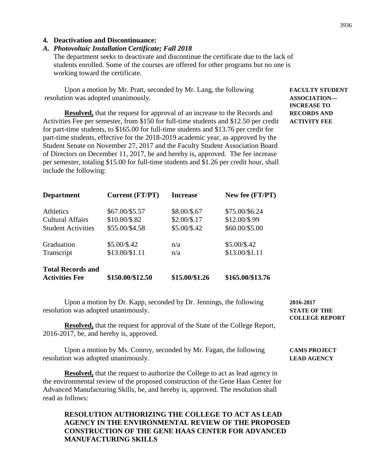#### *A. Photovoltaic Installation Certificate; Fall 2018*

The department seeks to deactivate and discontinue the certificate due to the lack of students enrolled. Some of the courses are offered for other programs but no one is working toward the certificate.

Upon a motion by Mr. Pratt, seconded by Mr. Lang, the following **FACULTY STUDENT** resolution was adopted unanimously. **ASSOCIATION—**

**Resolved,** that the request for approval of an increase to the Records and **RECORDS AND** Activities Fee per semester, from \$150 for full-time students and \$12.50 per credit **ACTIVITY FEE** for part-time students, to \$165.00 for full-time students and \$13.76 per credit for part-time students, effective for the 2018-2019 academic year, as approved by the Student Senate on November 27, 2017 and the Faculty Student Association Board of Directors on December 11, 2017, be and hereby is, approved. The fee increase per semester, totaling \$15.00 for full-time students and \$1.26 per credit hour, shall include the following:

| <b>Department</b>         | Current (FT/PT)  | <b>Increase</b> | New fee (FT/PT)  |
|---------------------------|------------------|-----------------|------------------|
| <b>Athletics</b>          | \$67.00/\$5.57   | \$8.00/\$.67    | \$75.00/\$6.24   |
| <b>Cultural Affairs</b>   | \$10.00/\$.82    | $$2.00/\$.17$   | \$12.00/\$.99    |
| <b>Student Activities</b> | \$55.00/\$4.58   | $$5.00/\$.42$   | \$60.00/\$5.00   |
| Graduation                | $$5.00/\$.42$    | n/a             | \$5.00/\$.42     |
| Transcript                | \$13.00/\$1.11   | n/a             | \$13.00/\$1.11   |
| <b>Total Records and</b>  |                  |                 |                  |
| <b>Activities Fee</b>     | \$150.00/\$12.50 | \$15.00/\$1.26  | \$165.00/\$13.76 |

Upon a motion by Dr. Kapp, seconded by Dr. Jennings, the following **2016-2017** resolution was adopted unanimously. **STATE OF THE**

**Resolved,** that the request for approval of the State of the College Report, 2016-2017, be, and hereby is, approved.

Upon a motion by Ms. Conroy, seconded by Mr. Fagan, the following **CAMS PROJECT** resolution was adopted unanimously. **LEAD AGENCY**

**Resolved,** that the request to authorize the College to act as lead agency in the environmental review of the proposed construction of the Gene Haas Center for Advanced Manufacturing Skills, be, and hereby is, approved. The resolution shall read as follows:

#### **RESOLUTION AUTHORIZING THE COLLEGE TO ACT AS LEAD AGENCY IN THE ENVIRONMENTAL REVIEW OF THE PROPOSED CONSTRUCTION OF THE GENE HAAS CENTER FOR ADVANCED MANUFACTURING SKILLS**

**COLLEGE REPORT**

**INCREASE TO**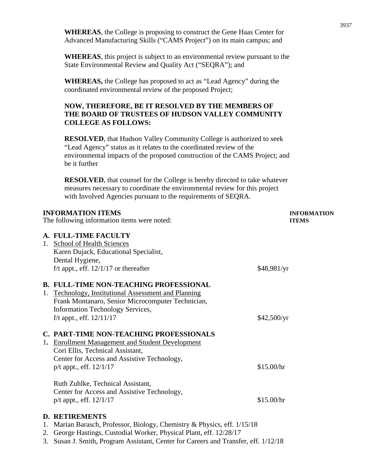**WHEREAS**, the College is proposing to construct the Gene Haas Center for Advanced Manufacturing Skills ("CAMS Project") on its main campus; and

**WHEREAS**, this project is subject to an environmental review pursuant to the State Environmental Review and Quality Act ("SEQRA"); and

**WHEREAS,** the College has proposed to act as "Lead Agency" during the coordinated environmental review of the proposed Project;

### **NOW, THEREFORE, BE IT RESOLVED BY THE MEMBERS OF THE BOARD OF TRUSTEES OF HUDSON VALLEY COMMUNITY COLLEGE AS FOLLOWS:**

**RESOLVED**, that Hudson Valley Community College is authorized to seek "Lead Agency" status as it relates to the coordinated review of the environmental impacts of the proposed construction of the CAMS Project; and be it further

**RESOLVED**, that counsel for the College is hereby directed to take whatever measures necessary to coordinate the environmental review for this project with Involved Agencies pursuant to the requirements of SEQRA.

|    | <b>INFORMATION ITEMS</b>                                                 | <b>INFORMATION</b> |
|----|--------------------------------------------------------------------------|--------------------|
|    | The following information items were noted:                              | <b>ITEMS</b>       |
|    | A. FULL-TIME FACULTY                                                     |                    |
|    | 1. School of Health Sciences                                             |                    |
|    | Karen Dujack, Educational Specialist,                                    |                    |
|    | Dental Hygiene,                                                          |                    |
|    | f/t appt., eff. $12/1/17$ or thereafter                                  | \$48,981/yr        |
|    | <b>B. FULL-TIME NON-TEACHING PROFESSIONAL</b>                            |                    |
|    | 1. Technology, Institutional Assessment and Planning                     |                    |
|    | Frank Montanaro, Senior Microcomputer Technician,                        |                    |
|    | <b>Information Technology Services,</b>                                  |                    |
|    | f/t appt., eff. $12/11/17$                                               | \$42,500/yr        |
|    | <b>C. PART-TIME NON-TEACHING PROFESSIONALS</b>                           |                    |
| 1. | <b>Enrollment Management and Student Development</b>                     |                    |
|    | Cori Ellis, Technical Assistant,                                         |                    |
|    | Center for Access and Assistive Technology,                              |                    |
|    | $p/t$ appt., eff. $12/1/17$                                              | \$15.00/hr         |
|    | Ruth Zuhlke, Technical Assistant,                                        |                    |
|    | Center for Access and Assistive Technology,                              |                    |
|    | $p/t$ appt., eff. $12/1/17$                                              | \$15.00/hr         |
|    | <b>D. RETIREMENTS</b>                                                    |                    |
|    | 1. Marian Barasch, Professor, Biology, Chemistry & Physics, eff. 1/15/18 |                    |

- 2. George Hastings, Custodial Worker, Physical Plant, eff. 12/28/17
- 3. Susan J. Smith, Program Assistant, Center for Careers and Transfer, eff. 1/12/18